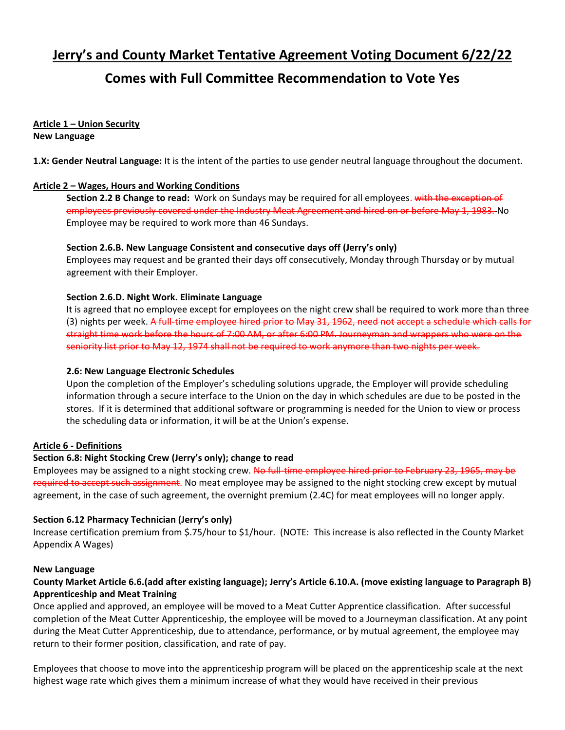# **Jerry's and County Market Tentative Agreement Voting Document 6/22/22**

# **Comes with Full Committee Recommendation to Vote Yes**

**Article 1 – Union Security New Language**

**1.X: Gender Neutral Language:** It is the intent of the parties to use gender neutral language throughout the document.

# **Article 2 – Wages, Hours and Working Conditions**

**Section 2.2 B Change to read:** Work on Sundays may be required for all employees. with the exception of employees previously covered under the Industry Meat Agreement and hired on or before May 1, 1983. No Employee may be required to work more than 46 Sundays.

### **Section 2.6.B. New Language Consistent and consecutive days off (Jerry's only)**

Employees may request and be granted their days off consecutively, Monday through Thursday or by mutual agreement with their Employer.

# **Section 2.6.D. Night Work. Eliminate Language**

It is agreed that no employee except for employees on the night crew shall be required to work more than three (3) nights per week. A full-time employee hired prior to May 31, 1962, need not accept a schedule which calls for straight time work before the hours of 7:00 AM, or after 6:00 PM. Journeyman and wrappers who were on the seniority list prior to May 12, 1974 shall not be required to work anymore than two nights per week.

### **2.6: New Language Electronic Schedules**

Upon the completion of the Employer's scheduling solutions upgrade, the Employer will provide scheduling information through a secure interface to the Union on the day in which schedules are due to be posted in the stores. If it is determined that additional software or programming is needed for the Union to view or process the scheduling data or information, it will be at the Union's expense.

### **Article 6 - Definitions**

### **Section 6.8: Night Stocking Crew (Jerry's only); change to read**

Employees may be assigned to a night stocking crew. No full-time employee hired prior to February 23, 1965, may be required to accept such assignment. No meat employee may be assigned to the night stocking crew except by mutual agreement, in the case of such agreement, the overnight premium (2.4C) for meat employees will no longer apply.

### **Section 6.12 Pharmacy Technician (Jerry's only)**

Increase certification premium from \$.75/hour to \$1/hour. (NOTE: This increase is also reflected in the County Market Appendix A Wages)

### **New Language**

# **County Market Article 6.6.(add after existing language); Jerry's Article 6.10.A. (move existing language to Paragraph B) Apprenticeship and Meat Training**

Once applied and approved, an employee will be moved to a Meat Cutter Apprentice classification. After successful completion of the Meat Cutter Apprenticeship, the employee will be moved to a Journeyman classification. At any point during the Meat Cutter Apprenticeship, due to attendance, performance, or by mutual agreement, the employee may return to their former position, classification, and rate of pay.

Employees that choose to move into the apprenticeship program will be placed on the apprenticeship scale at the next highest wage rate which gives them a minimum increase of what they would have received in their previous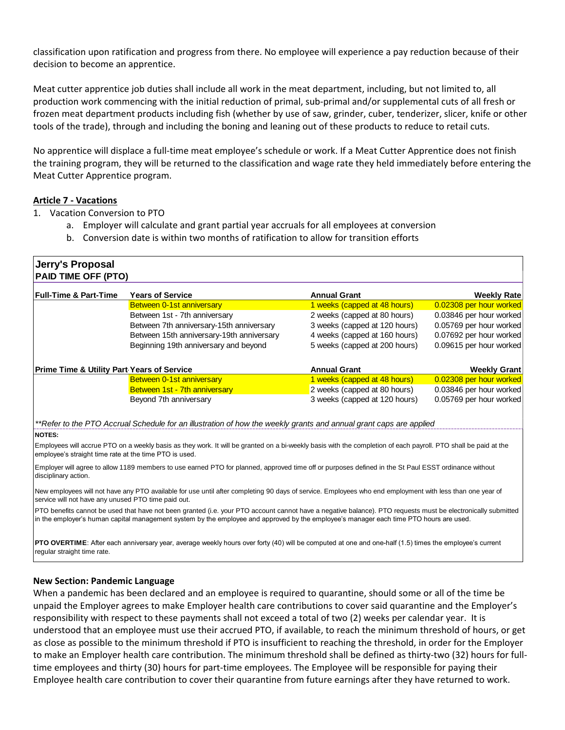classification upon ratification and progress from there. No employee will experience a pay reduction because of their decision to become an apprentice.

Meat cutter apprentice job duties shall include all work in the meat department, including, but not limited to, all production work commencing with the initial reduction of primal, sub-primal and/or supplemental cuts of all fresh or frozen meat department products including fish (whether by use of saw, grinder, cuber, tenderizer, slicer, knife or other tools of the trade), through and including the boning and leaning out of these products to reduce to retail cuts.

No apprentice will displace a full-time meat employee's schedule or work. If a Meat Cutter Apprentice does not finish the training program, they will be returned to the classification and wage rate they held immediately before entering the Meat Cutter Apprentice program.

#### **Article 7 - Vacations**

- 1. Vacation Conversion to PTO
	- a. Employer will calculate and grant partial year accruals for all employees at conversion
	- b. Conversion date is within two months of ratification to allow for transition efforts

| Jerry's Proposal<br><b>PAID TIME OFF (PTO)</b>        |                                                                                                                    |                               |                         |
|-------------------------------------------------------|--------------------------------------------------------------------------------------------------------------------|-------------------------------|-------------------------|
| <b>Full-Time &amp; Part-Time</b>                      | <b>Years of Service</b>                                                                                            | <b>Annual Grant</b>           | <b>Weekly Rate</b>      |
|                                                       | Between 0-1st anniversary                                                                                          | 1 weeks (capped at 48 hours)  | 0.02308 per hour worked |
|                                                       | Between 1st - 7th anniversary                                                                                      | 2 weeks (capped at 80 hours)  | 0.03846 per hour worked |
|                                                       | Between 7th anniversary-15th anniversary                                                                           | 3 weeks (capped at 120 hours) | 0.05769 per hour worked |
|                                                       | Between 15th anniversary-19th anniversary                                                                          | 4 weeks (capped at 160 hours) | 0.07692 per hour worked |
|                                                       | Beginning 19th anniversary and beyond                                                                              | 5 weeks (capped at 200 hours) | 0.09615 per hour worked |
| <b>Prime Time &amp; Utility Part Years of Service</b> |                                                                                                                    | <b>Annual Grant</b>           | <b>Weekly Grant</b>     |
|                                                       | Between 0-1st anniversary                                                                                          | 1 weeks (capped at 48 hours)  | 0.02308 per hour worked |
|                                                       | Between 1st - 7th anniversary                                                                                      | 2 weeks (capped at 80 hours)  | 0.03846 per hour worked |
|                                                       | Beyond 7th anniversary                                                                                             | 3 weeks (capped at 120 hours) | 0.05769 per hour worked |
|                                                       | **Refer to the PTO Accrual Schedule for an illustration of how the weekly grants and annual grant caps are applied |                               |                         |

#### **NOTES:**

Employees will accrue PTO on a weekly basis as they work. It will be granted on a bi-weekly basis with the completion of each payroll. PTO shall be paid at the employee's straight time rate at the time PTO is used.

Employer will agree to allow 1189 members to use earned PTO for planned, approved time off or purposes defined in the St Paul ESST ordinance without disciplinary action.

New employees will not have any PTO available for use until after completing 90 days of service. Employees who end employment with less than one year of service will not have any unused PTO time paid out.

PTO benefits cannot be used that have not been granted (i.e. your PTO account cannot have a negative balance). PTO requests must be electronically submitted in the employer's human capital management system by the employee and approved by the employee's manager each time PTO hours are used.

**PTO OVERTIME**: After each anniversary year, average weekly hours over forty (40) will be computed at one and one-half (1.5) times the employee's current regular straight time rate.

#### **New Section: Pandemic Language**

When a pandemic has been declared and an employee is required to quarantine, should some or all of the time be unpaid the Employer agrees to make Employer health care contributions to cover said quarantine and the Employer's responsibility with respect to these payments shall not exceed a total of two (2) weeks per calendar year. It is understood that an employee must use their accrued PTO, if available, to reach the minimum threshold of hours, or get as close as possible to the minimum threshold if PTO is insufficient to reaching the threshold, in order for the Employer to make an Employer health care contribution. The minimum threshold shall be defined as thirty-two (32) hours for fulltime employees and thirty (30) hours for part-time employees. The Employee will be responsible for paying their Employee health care contribution to cover their quarantine from future earnings after they have returned to work.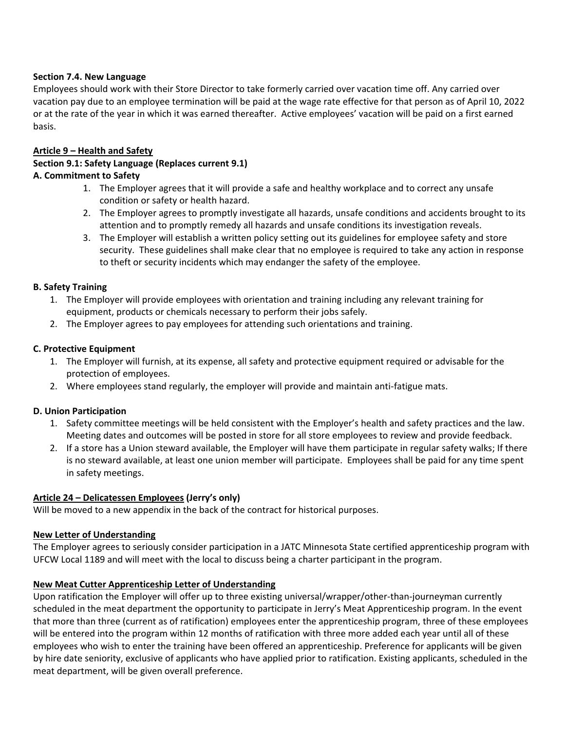# **Section 7.4. New Language**

Employees should work with their Store Director to take formerly carried over vacation time off. Any carried over vacation pay due to an employee termination will be paid at the wage rate effective for that person as of April 10, 2022 or at the rate of the year in which it was earned thereafter. Active employees' vacation will be paid on a first earned basis.

## **Article 9 – Health and Safety**

### **Section 9.1: Safety Language (Replaces current 9.1) A. Commitment to Safety**

- 1. The Employer agrees that it will provide a safe and healthy workplace and to correct any unsafe condition or safety or health hazard.
- 2. The Employer agrees to promptly investigate all hazards, unsafe conditions and accidents brought to its attention and to promptly remedy all hazards and unsafe conditions its investigation reveals.
- 3. The Employer will establish a written policy setting out its guidelines for employee safety and store security. These guidelines shall make clear that no employee is required to take any action in response to theft or security incidents which may endanger the safety of the employee.

### **B. Safety Training**

- 1. The Employer will provide employees with orientation and training including any relevant training for equipment, products or chemicals necessary to perform their jobs safely.
- 2. The Employer agrees to pay employees for attending such orientations and training.

# **C. Protective Equipment**

- 1. The Employer will furnish, at its expense, all safety and protective equipment required or advisable for the protection of employees.
- 2. Where employees stand regularly, the employer will provide and maintain anti-fatigue mats.

# **D. Union Participation**

- 1. Safety committee meetings will be held consistent with the Employer's health and safety practices and the law. Meeting dates and outcomes will be posted in store for all store employees to review and provide feedback.
- 2. If a store has a Union steward available, the Employer will have them participate in regular safety walks; If there is no steward available, at least one union member will participate. Employees shall be paid for any time spent in safety meetings.

# **Article 24 – Delicatessen Employees (Jerry's only)**

Will be moved to a new appendix in the back of the contract for historical purposes.

# **New Letter of Understanding**

The Employer agrees to seriously consider participation in a JATC Minnesota State certified apprenticeship program with UFCW Local 1189 and will meet with the local to discuss being a charter participant in the program.

# **New Meat Cutter Apprenticeship Letter of Understanding**

Upon ratification the Employer will offer up to three existing universal/wrapper/other-than-journeyman currently scheduled in the meat department the opportunity to participate in Jerry's Meat Apprenticeship program. In the event that more than three (current as of ratification) employees enter the apprenticeship program, three of these employees will be entered into the program within 12 months of ratification with three more added each year until all of these employees who wish to enter the training have been offered an apprenticeship. Preference for applicants will be given by hire date seniority, exclusive of applicants who have applied prior to ratification. Existing applicants, scheduled in the meat department, will be given overall preference.